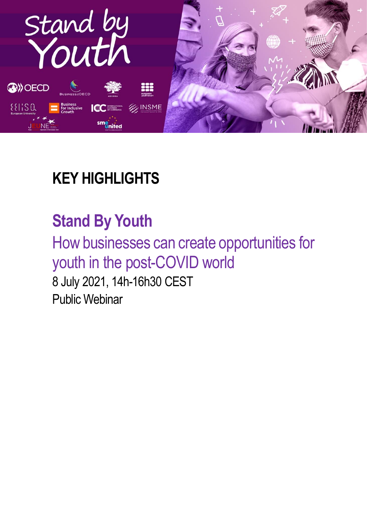

### **KEY HIGHLIGHTS**

### **Stand By Youth**

How businesses can create opportunities for youth in the post-COVID world

8 July 2021, 14h-16h30 CEST Public Webinar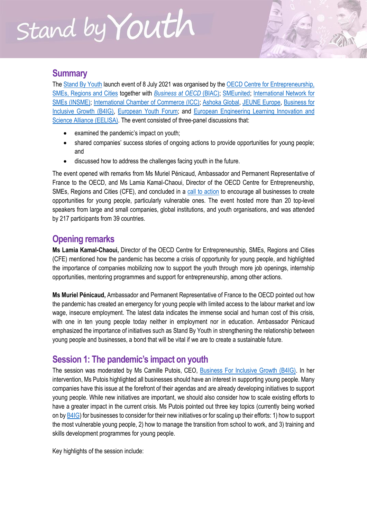#### **Summary**

The [Stand By Youth](https://www.oecd.org/cfe/standbyyouth.htm) launch event of 8 July 2021 was organised by the OECD Centre for Entrepreneurship, [SMEs, Regions and Cities](https://www.oecd.org/cfe/) together with *[Business at OECD](https://biac.org/)* (BIAC); [SMEunited;](https://www.smeunited.eu/) [International Network for](https://www.insme.org/)  [SMEs \(INSME\);](https://www.insme.org/) [International Chamber of Commerce \(ICC\);](https://iccwbo.org/) [Ashoka Global,](http://www.ashoka.org/) [JEUNE Europe,](https://jeune-europe.org/) [Business for](https://www.b4ig.org/)  [Inclusive Growth \(B4IG\),](https://www.b4ig.org/) [European Youth Forum;](https://www.youthforum.org/) and [European Engineering Learning Innovation and](https://eelisa.eu/)  [Science Alliance \(EELISA\).](https://eelisa.eu/) The event consisted of three-panel discussions that:

- examined the pandemic's impact on youth;
- shared companies' success stories of ongoing actions to provide opportunities for young people; and
- discussed how to address the challenges facing youth in the future.

The event opened with remarks from Ms Muriel Pénicaud, Ambassador and Permanent Representative of France to the OECD, and Ms Lamia Kamal-Chaoui, Director of the OECD Centre for Entrepreneurship, SMEs, Regions and Cities (CFE), and concluded in a [call to action](https://www.oecd.org/cfe/SBY-Call-Action.pdf) to encourage all businesses to create opportunities for young people, particularly vulnerable ones. The event hosted more than 20 top-level speakers from large and small companies, global institutions, and youth organisations, and was attended by 217 participants from 39 countries.

#### **Opening remarks**

**Ms Lamia Kamal-Chaoui,** Director of the OECD Centre for Entrepreneurship, SMEs, Regions and Cities (CFE) mentioned how the pandemic has become a crisis of opportunity for young people, and highlighted the importance of companies mobilizing now to support the youth through more job openings, internship opportunities, mentoring programmes and support for entrepreneurship, among other actions.

**Ms Muriel Pénicaud,** Ambassador and Permanent Representative of France to the OECD pointed out how the pandemic has created an emergency for young people with limited access to the labour market and low wage, insecure employment. The latest data indicates the immense social and human cost of this crisis, with one in ten young people today neither in employment nor in education. Ambassador Pénicaud emphasized the importance of initiatives such as Stand By Youth in strengthening the relationship between young people and businesses, a bond that will be vital if we are to create a sustainable future.

#### **Session 1: The pandemic's impact on youth**

The session was moderated by Ms Camille Putois, CEO, [Business For Inclusive Growth \(B4IG\).](https://www.b4ig.org/) In her intervention, Ms Putois highlighted all businesses should have an interest in supporting young people. Many companies have this issue at the forefront of their agendas and are already developing initiatives to support young people. While new initiatives are important, we should also consider how to scale existing efforts to have a greater impact in the current crisis. Ms Putois pointed out three key topics (currently being worked on by [B4IG\)](https://www.b4ig.org/) for businesses to consider for their new initiatives or for scaling up their efforts: 1) how to support the most vulnerable young people, 2) how to manage the transition from school to work, and 3) training and skills development programmes for young people.

Key highlights of the session include: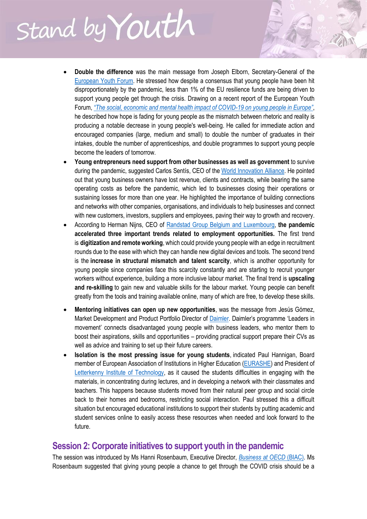- **Double the difference** was the main message from Joseph Elborn, Secretary-General of the [European Youth Forum.](https://www.youthforum.org/) He stressed how despite a consensus that young people have been hit disproportionately by the pandemic, less than 1% of the EU resilience funds are being driven to support young people get through the crisis. Drawing on a recent report of the European Youth Forum, *["The social, economic and mental health impact of COVID](https://www.youthforum.org/sites/default/files/publication-pdfs/European%20Youth%20Forum%20Report%20v1.2.pdf)-19 on young people in Europe"*, he described how hope is fading for young people as the mismatch between rhetoric and reality is producing a notable decrease in young people's well-being. He called for immediate action and encouraged companies (large, medium and small) to double the number of graduates in their intakes, double the number of apprenticeships, and double programmes to support young people become the leaders of tomorrow.
- **Young entrepreneurs need support from other businesses as well as government** to survive during the pandemic, suggested Carlos Sentís, CEO of the [World Innovation Alliance.](https://www.wia.world/) He pointed out that young business owners have lost revenue, clients and contracts, while bearing the same operating costs as before the pandemic, which led to businesses closing their operations or sustaining losses for more than one year. He highlighted the importance of building connections and networks with other companies, organisations, and individuals to help businesses and connect with new customers, investors, suppliers and employees, paving their way to growth and recovery.
- According to Herman Nijns, CEO of [Randstad Group Belgium and](https://www.randstad.be/en/about-us/news/randstad-group-belgium-strengthens-management-team/) Luxembourg, **the pandemic accelerated three important trends related to employment opportunities.** The first trend is **digitization and remote working**, which could provide young people with an edge in recruitment rounds due to the ease with which they can handle new digital devices and tools. The second trend is the **increase in structural mismatch and talent scarcity**, which is another opportunity for young people since companies face this scarcity constantly and are starting to recruit younger workers without experience, building a more inclusive labour market. The final trend is **upscaling and re-skilling** to gain new and valuable skills for the labour market. Young people can benefit greatly from the tools and training available online, many of which are free, to develop these skills.
- **Mentoring initiatives can open up new opportunities**, was the message from Jesús Gómez, Market Development and Product Portfolio Director of [Daimler.](https://www.daimler.com/company/north-america/daimler-trucks-mexico.html) Daimler's programme 'Leaders in movement' connects disadvantaged young people with business leaders, who mentor them to boost their aspirations, skills and opportunities – providing practical support prepare their CVs as well as advice and training to set up their future careers.
- **Isolation is the most pressing issue for young students**, indicated Paul Hannigan, Board member of European Association of Institutions in Higher Education [\(EURASHE\)](https://www.eurashe.eu/) and President of [Letterkenny Institute of Technology,](https://www.lyit.ie/) as it caused the students difficulties in engaging with the materials, in concentrating during lectures, and in developing a network with their classmates and teachers. This happens because students moved from their natural peer group and social circle back to their homes and bedrooms, restricting social interaction. Paul stressed this a difficult situation but encouraged educational institutions to support their students by putting academic and student services online to easily access these resources when needed and look forward to the future.

#### **Session 2: Corporate initiatives to support youth in the pandemic**

The session was introduced by Ms Hanni Rosenbaum, Executive Director, *[Business at OECD](https://biac.org/)* (BIAC). Ms Rosenbaum suggested that giving young people a chance to get through the COVID crisis should be a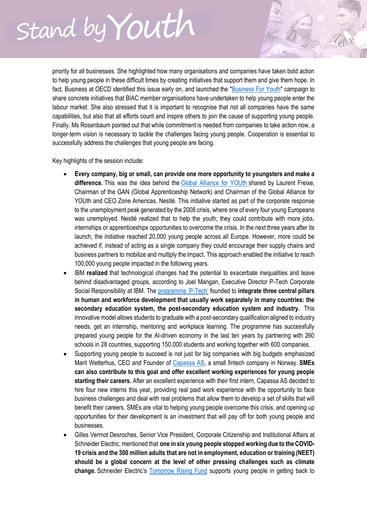priority for all businesses. She highlighted how many organisations and companies have taken bold action to help young people in these difficult times by creating initiatives that support them and give them hope. In fact, Business at OECD identified this issue early on, and launched the ["Business For Youth"](https://eur02.safelinks.protection.outlook.com/?url=https%3A%2F%2Fbiac.org%2F%3Fpage_id%3D24522&data=04%7C01%7Cdaniel.bayram%40oecd.org%7C75fe27e3fe764de39fff08d951e90324%7Cac41c7d41f61460db0f4fc925a2b471c%7C0%7C0%7C637630883489595803%7CUnknown%7CTWFpbGZsb3d8eyJWIjoiMC4wLjAwMDAiLCJQIjoiV2luMzIiLCJBTiI6Ik1haWwiLCJXVCI6Mn0%3D%7C1000&sdata=3zRJfmbvy7a%2BpCAm%2FGwML%2BceodWP5%2B0V1kiUwvolK94%3D&reserved=0) campaign to share concrete initiatives that BIAC member organisations have undertaken to help young people enter the labour market. She also stressed that it is important to recognise that not all companies have the same capabilities, but also that all efforts count and inspire others to join the cause of supporting young people. Finally, Ms Rosenbaum pointed out that while commitment is needed from companies to take action now, a longer-term vision is necessary to tackle the challenges facing young people. Cooperation is essential to successfully address the challenges that young people are facing.

Key highlights of the session include:

- **Every company, big or small, can provide one more opportunity to youngsters and make a difference.** This was the idea behind the [Global Alliance for YOUth](https://www.globalallianceforyouth.org/) shared by Laurent Freixe, Chairman of the GAN (Global Apprenticeship Network) and Chairman of the Global Alliance for YOUth and CEO Zone Americas, Nestlé. This initiative started as part of the corporate response to the unemployment peak generated by the 2008 crisis, where one of every four young Europeans was unemployed. Nestlé realized that to help the youth; they could contribute with more jobs, internships or apprenticeships opportunities to overcome the crisis. In the next three years after its launch, the initiative reached 20,000 young people across all Europe. However, more could be achieved if, instead of acting as a single company they could encourage their supply chains and business partners to mobilize and multiply the impact. This approach enabled the initiative to reach 100,000 young people impacted in the following years.
- IBM **realized** that technological changes had the potential to exacerbate inequalities and leave behind disadvantaged groups, according to Joel Mangan, Executive Director P-Tech Corporate Social Responsibility at IBM. The [programme 'P](https://www.ibm.org/initiatives/p-tech)-Tech' founded to **integrate three central pillars in human and workforce development that usually work separately in many countries: the secondary education system, the post-secondary education system and industry.** This innovative model allows students to graduate with a post-secondary qualification aligned to industry needs, get an internship, mentoring and workplace learning. The programme has successfully prepared young people for the AI-driven economy in the last ten years by partnering with 260 schools in 28 countries, supporting 150.000 students and working together with 600 companies.
- Supporting young people to succeed is not just for big companies with big budgets emphasized Marit Wetterhus, CEO and Founder of [Capassa AS,](https://www.capassa.com/) a small fintech company in Norway. **SMEs can also contribute to this goal and offer excellent working experiences for young people starting their careers.** After an excellent experience with their first intern, Capassa AS decided to hire four new interns this year, providing real paid work experience with the opportunity to face business challenges and deal with real problems that allow them to develop a set of skills that will benefit their careers. SMEs are vital to helping young people overcome this crisis, and opening up opportunities for their development is an investment that will pay off for both young people and businesses.
- Gilles Vermot Desroches, Senior Vice President, Corporate Citizenship and Institutional Affairs at Schneider Electric, mentioned that **one in six young people stopped working due to the COVID-19 crisis and the 300 million adults that are not in employment, education or training (NEET) should be a global concern at the level of other pressing challenges such as climate change.** Schneider Electric's [Tomorrow Rising Fund](https://www.se.com/ww/en/about-us/newsroom/news/press-releases/following-emergency-pandemic-response-the-tomorrow-rising-fund-by-the-schneider-electric-foundation-focuses-support-on-recovery-and-resiliency-5ef4c3b48c5665553339c563) supports young people in getting back to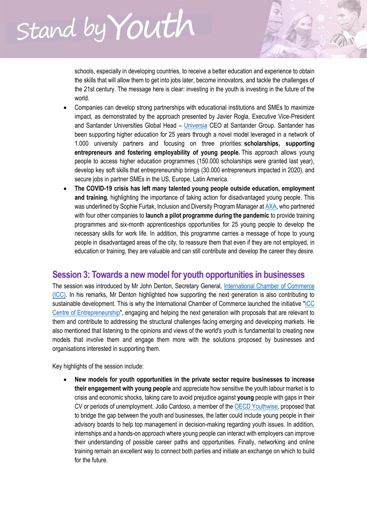schools, especially in developing countries, to receive a better education and experience to obtain the skills that will allow them to get into jobs later, become innovators, and tackle the challenges of the 21st century. The message here is clear: investing in the youth is investing in the future of the world.

- Companies can develop strong partnerships with educational institutions and SMEs to maximize impact, as demonstrated by the approach presented by Javier Rogla, Executive Vice-President and Santander Universities Global Head – [Universia](https://www.santander.com/en/our-approach/inclusive-and-sustainable-growth/support-for-higher-education/universia) CEO at Santander Group. Santander has been supporting higher education for 25 years through a novel model leveraged in a network of 1.000 university partners and focusing on three priorities: **scholarships, supporting entrepreneurs and fostering employability of young people.** This approach allows young people to access higher education programmes (150.000 scholarships were granted last year), develop key soft skills that entrepreneurship brings (30.000 entrepreneurs impacted in 2020), and secure jobs in partner SMEs in the US, Europe, Latin America.
- **The COVID-19 crisis has left many talented young people outside education, employment and training**, highlighting the importance of taking action for disadvantaged young people. This was underlined by Sophie Furtak, Inclusion and Diversity Program Manager a[t AXA,](https://www.axa.fr/) who partnered with four other companies to **launch a pilot programme during the pandemic** to provide training programmes and six-month apprenticeships opportunities for 25 young people to develop the necessary skills for work life. In addition, this programme carries a message of hope to young people in disadvantaged areas of the city, to reassure them that even if they are not employed, in education or training, they are valuable and can still contribute and develop the career they desire.

#### **Session 3: Towards a new model for youth opportunities in businesses**

The session was introduced by Mr John Denton, Secretary General, International Chamber of Commerce [\(ICC\).](https://iccwbo.org/) In his remarks, Mr Denton highlighted how supporting the next generation is also contributing to sustainable development. This is why the International Chamber of Commerce launched the initiative "ICC [Centre of Entrepreneurship"](https://eur02.safelinks.protection.outlook.com/?url=https%3A%2F%2Ficcwbo.org%2Fresources-for-business%2Fsmall-and-medium-sized-enterprises-smes%2Ficc-centre-for-entrepreneurship%2F&data=04%7C01%7Cdaniel.bayram%40oecd.org%7C75fe27e3fe764de39fff08d951e90324%7Cac41c7d41f61460db0f4fc925a2b471c%7C0%7C0%7C637630883489605800%7CUnknown%7CTWFpbGZsb3d8eyJWIjoiMC4wLjAwMDAiLCJQIjoiV2luMzIiLCJBTiI6Ik1haWwiLCJXVCI6Mn0%3D%7C1000&sdata=%2Bh66Y%2BG6AaY8p2%2Ba7YGYkzlelAQeKzwHnucoTrp1VkA%3D&reserved=0), engaging and helping the next generation with proposals that are relevant to them and contribute to addressing the structural challenges facing emerging and developing markets. He also mentioned that listening to the opinions and views of the world's youth is fundamental to creating new models that involve them and engage them more with the solutions proposed by businesses and organisations interested in supporting them.

Key highlights of the session include:

 **New models for youth opportunities in the private sector require businesses to increase their engagement with young people** and appreciate how sensitive the youth labour market is to crisis and economic shocks, taking care to avoid prejudice against **young** people with gaps in their CV or periods of unemployment. João Cardoso, a member of th[e OECD Youthwise,](https://www.oecd.org/about/civil-society/youth/youthwise/) proposed that to bridge the gap between the youth and businesses, the latter could include young people in their advisory boards to help top management in decision-making regarding youth issues. In addition, internships and a hands-on approach where young people can interact with employers can improve their understanding of possible career paths and opportunities. Finally, networking and online training remain an excellent way to connect both parties and initiate an exchange on which to build for the future.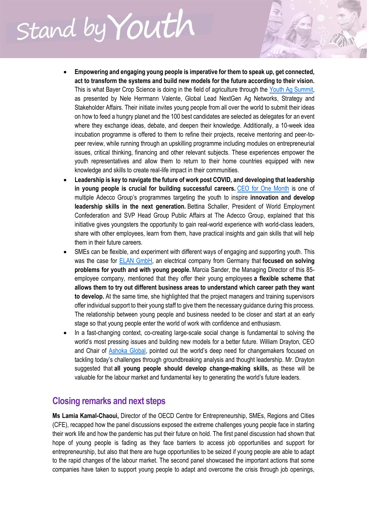- **Empowering and engaging young people is imperative for them to speak up, get connected, act to transform the systems and build new models for the future according to their vision.**  This is what Bayer Crop Science is doing in the field of agriculture through the [Youth Ag Summit,](https://www.cropscience.bayer.com/who-we-are/events/youth-ag-summit) as presented by Nele Herrmann Valente, Global Lead NextGen Ag Networks, Strategy and Stakeholder Affairs. Their initiate invites young people from all over the world to submit their ideas on how to feed a hungry planet and the 100 best candidates are selected as delegates for an event where they exchange ideas, debate, and deepen their knowledge. Additionally, a 10-week idea incubation programme is offered to them to refine their projects, receive mentoring and peer-topeer review, while running through an upskilling programme including modules on entrepreneurial issues, critical thinking, financing and other relevant subjects. These experiences empower the youth representatives and allow them to return to their home countries equipped with new knowledge and skills to create real-life impact in their communities.
- **Leadership is key to navigate the future of work post COVID, and developing that leadership in young people is crucial for building successful careers.** [CEO for One Month](https://www.adeccogroup.com/ceoforonemonth/) is one of multiple Adecco Group's programmes targeting the youth to inspire **innovation and develop leadership skills in the next generation.** Bettina Schaller, President of World Employment Confederation and SVP Head Group Public Affairs at The Adecco Group, explained that this initiative gives youngsters the opportunity to gain real-world experience with world-class leaders, share with other employees, learn from them, have practical insights and gain skills that will help them in their future careers.
- SMEs can be flexible, and experiment with different ways of engaging and supporting youth. This was the case for [ELAN GmbH,](https://www.elan-gmbh.de/) an electrical company from Germany that **focused on solving problems for youth and with young people.** Marcia Sander, the Managing Director of this 85 employee company, mentioned that they offer their young employees **a flexible scheme that allows them to try out different business areas to understand which career path they want to develop.** At the same time, she highlighted that the project managers and training supervisors offer individual support to their young staff to give them the necessary guidance during this process. The relationship between young people and business needed to be closer and start at an early stage so that young people enter the world of work with confidence and enthusiasm.
- In a fast-changing context, co-creating large-scale social change is fundamental to solving the world's most pressing issues and building new models for a better future. William Drayton, CEO and Chair of [Ashoka Global](http://www.ashoka.org/), pointed out the world's deep need for changemakers focused on tackling today's challenges through groundbreaking analysis and thought leadership. Mr. Drayton suggested that **all young people should develop change-making skills,** as these will be valuable for the labour market and fundamental key to generating the world's future leaders.

#### **Closing remarks and next steps**

**Ms Lamia Kamal-Chaoui,** Director of the OECD Centre for Entrepreneurship, SMEs, Regions and Cities (CFE), recapped how the panel discussions exposed the extreme challenges young people face in starting their work life and how the pandemic has put their future on hold. The first panel discussion had shown that hope of young people is fading as they face barriers to access job opportunities and support for entrepreneurship, but also that there are huge opportunities to be seized if young people are able to adapt to the rapid changes of the labour market. The second panel showcased the important actions that some companies have taken to support young people to adapt and overcome the crisis through job openings,